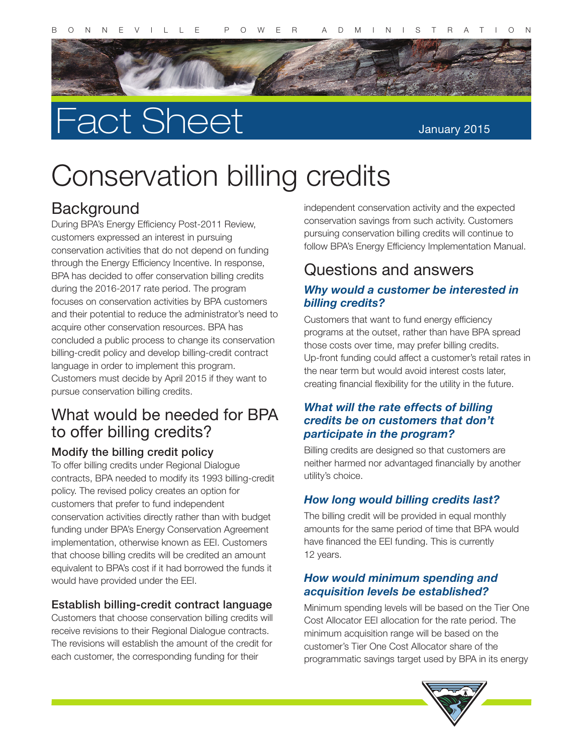

# Fact Sheet

#### January 2015

## Conservation billing credits

## **Background**

During BPA's Energy Efficiency Post-2011 Review, customers expressed an interest in pursuing conservation activities that do not depend on funding through the Energy Efficiency Incentive. In response, BPA has decided to offer conservation billing credits during the 2016-2017 rate period. The program focuses on conservation activities by BPA customers and their potential to reduce the administrator's need to acquire other conservation resources. BPA has concluded a public process to change its conservation billing-credit policy and develop billing-credit contract language in order to implement this program. Customers must decide by April 2015 if they want to pursue conservation billing credits.

## What would be needed for BPA to offer billing credits?

#### Modify the billing credit policy

To offer billing credits under Regional Dialogue contracts, BPA needed to modify its 1993 billing-credit policy. The revised policy creates an option for customers that prefer to fund independent conservation activities directly rather than with budget funding under BPA's Energy Conservation Agreement implementation, otherwise known as EEI. Customers that choose billing credits will be credited an amount equivalent to BPA's cost if it had borrowed the funds it would have provided under the EEI.

#### Establish billing-credit contract language

Customers that choose conservation billing credits will receive revisions to their Regional Dialogue contracts. The revisions will establish the amount of the credit for each customer, the corresponding funding for their

independent conservation activity and the expected conservation savings from such activity. Customers pursuing conservation billing credits will continue to follow BPA's Energy Efficiency Implementation Manual.

## Questions and answers

#### *Why would a customer be interested in billing credits?*

Customers that want to fund energy efficiency programs at the outset, rather than have BPA spread those costs over time, may prefer billing credits. Up-front funding could affect a customer's retail rates in the near term but would avoid interest costs later, creating financial flexibility for the utility in the future.

#### *What will the rate effects of billing credits be on customers that don't participate in the program?*

Billing credits are designed so that customers are neither harmed nor advantaged financially by another utility's choice.

#### *How long would billing credits last?*

The billing credit will be provided in equal monthly amounts for the same period of time that BPA would have financed the EEI funding. This is currently 12 years.

#### *How would minimum spending and acquisition levels be established?*

Minimum spending levels will be based on the Tier One Cost Allocator EEI allocation for the rate period. The minimum acquisition range will be based on the customer's Tier One Cost Allocator share of the programmatic savings target used by BPA in its energy